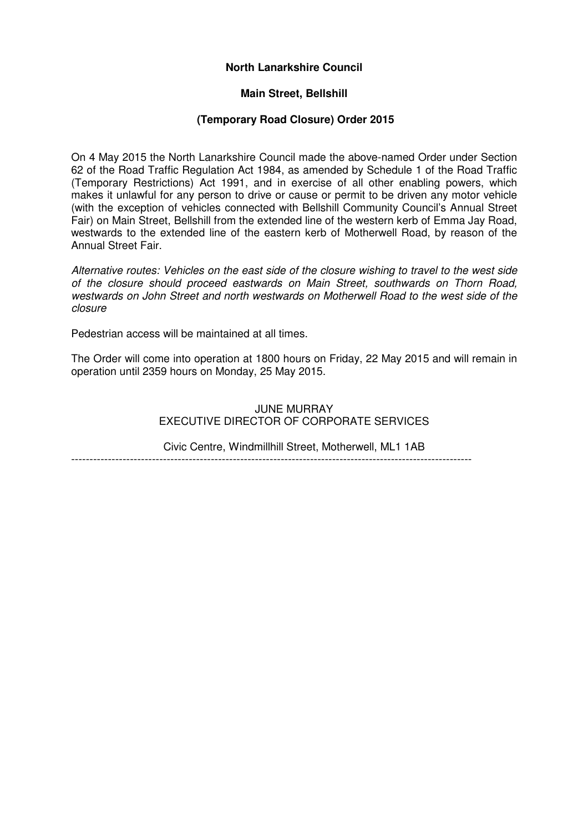## **North Lanarkshire Council**

## **Main Street, Bellshill**

## **(Temporary Road Closure) Order 2015**

On 4 May 2015 the North Lanarkshire Council made the above-named Order under Section 62 of the Road Traffic Regulation Act 1984, as amended by Schedule 1 of the Road Traffic (Temporary Restrictions) Act 1991, and in exercise of all other enabling powers, which makes it unlawful for any person to drive or cause or permit to be driven any motor vehicle (with the exception of vehicles connected with Bellshill Community Council's Annual Street Fair) on Main Street, Bellshill from the extended line of the western kerb of Emma Jay Road, westwards to the extended line of the eastern kerb of Motherwell Road, by reason of the Annual Street Fair.

Alternative routes: Vehicles on the east side of the closure wishing to travel to the west side of the closure should proceed eastwards on Main Street, southwards on Thorn Road, westwards on John Street and north westwards on Motherwell Road to the west side of the closure

Pedestrian access will be maintained at all times.

The Order will come into operation at 1800 hours on Friday, 22 May 2015 and will remain in operation until 2359 hours on Monday, 25 May 2015.

> JUNE MURRAY EXECUTIVE DIRECTOR OF CORPORATE SERVICES

Civic Centre, Windmillhill Street, Motherwell, ML1 1AB -------------------------------------------------------------------------------------------------------------